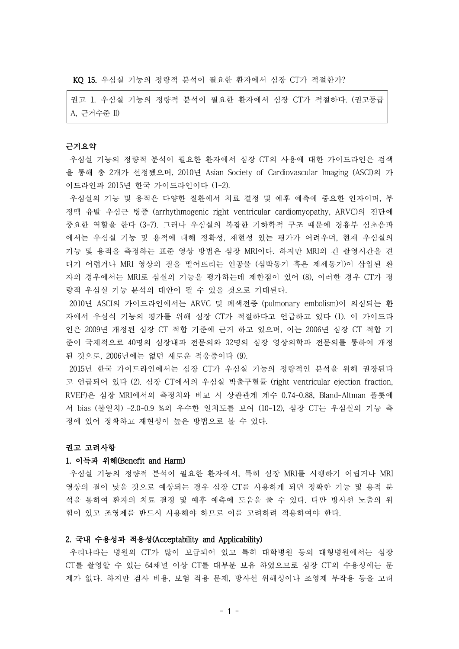KQ 15. 우심실 기능의 정량적 분석이 필요한 환자에서 심장 CT가 적절한가?

권고 1. 우심실 기능의 정량적 분석이 필요한 환자에서 심장 CT가 적절하다. (권고등급 A, 근거수준 II)

### 근거요약

우심실 기능의 정량적 분석이 필요한 환자에서 심장 CT의 사용에 대한 가이드라인은 검색 을 통해 총 2개가 선정됐으며, 2010년 Asian Society of Cardiovascular Imaging (ASCI)의 가 이드라인과 2015년 한국 가이드라인이다 (1-2).

우심실의 기능 및 용적은 다양한 질환에서 치료 결정 및 예후 예측에 중요한 인자이며, 부 정맥 유발 우심근 병증 (arrhythmogenic right ventricular cardiomyopathy, ARVC)의 진단에 중요한 역할을 한다 (3-7). 그러나 우심실의 복잡한 기하학적 구조 떄문에 경흉부 심초음파 에서는 우심실 기능 및 용적에 대해 정확성, 재현성 있는 평가가 어려우며, 현재 우심실의 기능 및 용적을 측정하는 표준 영상 방법은 심장 MRI이다. 하지만 MRI의 긴 촬영시간을 견 디기 어렵거나 MRI 영상의 질을 떨어뜨리는 인공물 (심박동기 혹은 제세동기)이 삽입된 환 자의 경우에서는 MRI로 심실의 기능을 평가하는데 제한점이 있어 (8), 이러한 경우 CT가 정 량적 우심실 기능 분석의 대안이 될 수 있을 것으로 기대된다.

2010년 ASCI의 가이드라인에서는 ARVC 및 폐색전증 (pulmonary embolism)이 의심되는 환 자에서 우심식 기능의 평가를 위해 심장 CT가 적절하다고 언급하고 있다 (1). 이 가이드라 인은 2009년 개정된 심장 CT 적합 기준에 근거 하고 있으며, 이는 2006년 심장 CT 적합 기 준이 국제적으로 40명의 심장내과 전문의와 32명의 심장 영상의학과 전문의를 통하여 개정 된 것으로, 2006년에는 없던 새로운 적응증이다 (9).

2015년 한국 가이드라인에서는 심장 CT가 우심실 기능의 정량적인 분석을 위해 권장된다 고 언급되어 있다 (2). 심장 CT에서의 우심실 박출구혈률 (right ventricular ejection fraction, RVEF)은 심장 MRI에서의 측정치와 비교 시 상관관계 계수 0.74-0.88, Bland-Altman 플롯에 서 bias (불일치) –2.0-0.9 %의 우수한 일치도를 보여 (10-12), 심장 CT는 우심실의 기능 측 정에 있어 정확하고 재현성이 높은 방법으로 볼 수 있다.

#### 권고 고려사항

### 1. 이득과 위해(Benefit and Harm)

우심실 기능의 정량적 분석이 필요한 환자에서, 특히 심장 MRI를 시행하기 어렵거나 MRI 영상의 질이 낮을 것으로 예상되는 경우 심장 CT를 사용하게 되면 정확한 기능 및 용적 분 석을 통하여 환자의 치료 결정 및 예후 예측에 도움을 줄 수 있다. 다만 방사선 노출의 위 험이 있고 조영제를 반드시 사용해야 하므로 이를 고려하려 적용하여야 한다.

## 2. 국내 수용성과 적용성(Acceptability and Applicability)

우리나라는 병원의 CT가 많이 보급되어 있고 특히 대학병원 등의 대형병원에서는 심장 CT를 촬영할 수 있는 64채널 이상 CT를 대부분 보유 하였으므로 심장 CT의 수용성에는 문 제가 없다. 하지만 검사 비용, 보험 적용 문제, 방사선 위해성이나 조영제 부작용 등을 고려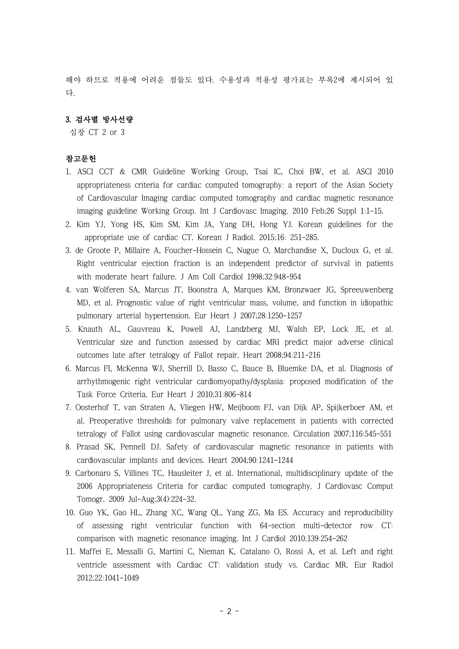해야 하므로 적용에 어려운 점들도 있다. 수용성과 적용성 평가표는 부록2에 제시되어 있 다.

## 3. 검사별 방사선량

심장 CT 2 or 3

# 참고문헌

- 1. ASCI CCT & CMR Guideline Working Group, Tsai IC, Choi BW, et al. ASCI 2010 appropriateness criteria for cardiac computed tomography: a report of the Asian Society of Cardiovascular Imaging cardiac computed tomography and cardiac magnetic resonance imaging guideline Working Group. Int J Cardiovasc Imaging. 2010 Feb;26 Suppl 1:1-15.
- 2. Kim YJ, Yong HS, Kim SM, Kim JA, Yang DH, Hong YJ. Korean guidelines for the appropriate use of cardiac CT. Korean J Radiol. 2015;16: 251-285.
- 3. de Groote P, Millaire A, Foucher-Hossein C, Nugue O, Marchandise X, Ducloux G, et al. Right ventricular ejection fraction is an independent predictor of survival in patients with moderate heart failure. J Am Coll Cardiol 1998;32:948-954
- 4. van Wolferen SA, Marcus JT, Boonstra A, Marques KM, Bronzwaer JG, Spreeuwenberg MD, et al. Prognostic value of right ventricular mass, volume, and function in idiopathic pulmonary arterial hypertension. Eur Heart J 2007;28:1250-1257
- 5. Knauth AL, Gauvreau K, Powell AJ, Landzberg MJ, Walsh EP, Lock JE, et al. Ventricular size and function assessed by cardiac MRI predict major adverse clinical outcomes late after tetralogy of Fallot repair. Heart 2008;94:211-216
- 6. Marcus FI, McKenna WJ, Sherrill D, Basso C, Bauce B, Bluemke DA, et al. Diagnosis of arrhythmogenic right ventricular cardiomyopathy/dysplasia: proposed modification of the Task Force Criteria. Eur Heart J 2010;31:806-814
- 7. Oosterhof T, van Straten A, Vliegen HW, Meijboom FJ, van Dijk AP, Spijkerboer AM, et al. Preoperative thresholds for pulmonary valve replacement in patients with corrected tetralogy of Fallot using cardiovascular magnetic resonance. Circulation 2007;116:545-551
- 8. Prasad SK, Pennell DJ. Safety of cardiovascular magnetic resonance in patients with cardiovascular implants and devices. Heart 2004;90:1241-1244
- 9. Carbonaro S, Villines TC, Hausleiter J, et al. International, multidisciplinary update of the 2006 Appropriateness Criteria for cardiac computed tomography. J Cardiovasc Comput Tomogr. 2009 Jul-Aug;3(4):224-32.
- 10. Guo YK, Gao HL, Zhang XC, Wang QL, Yang ZG, Ma ES. Accuracy and reproducibility of assessing right ventricular function with 64-section multi-detector row CT: comparison with magnetic resonance imaging. Int J Cardiol 2010;139:254-262
- 11. Maffei E, Messalli G, Martini C, Nieman K, Catalano O, Rossi A, et al. Left and right ventricle assessment with Cardiac CT: validation study vs. Cardiac MR. Eur Radiol 2012;22:1041-1049